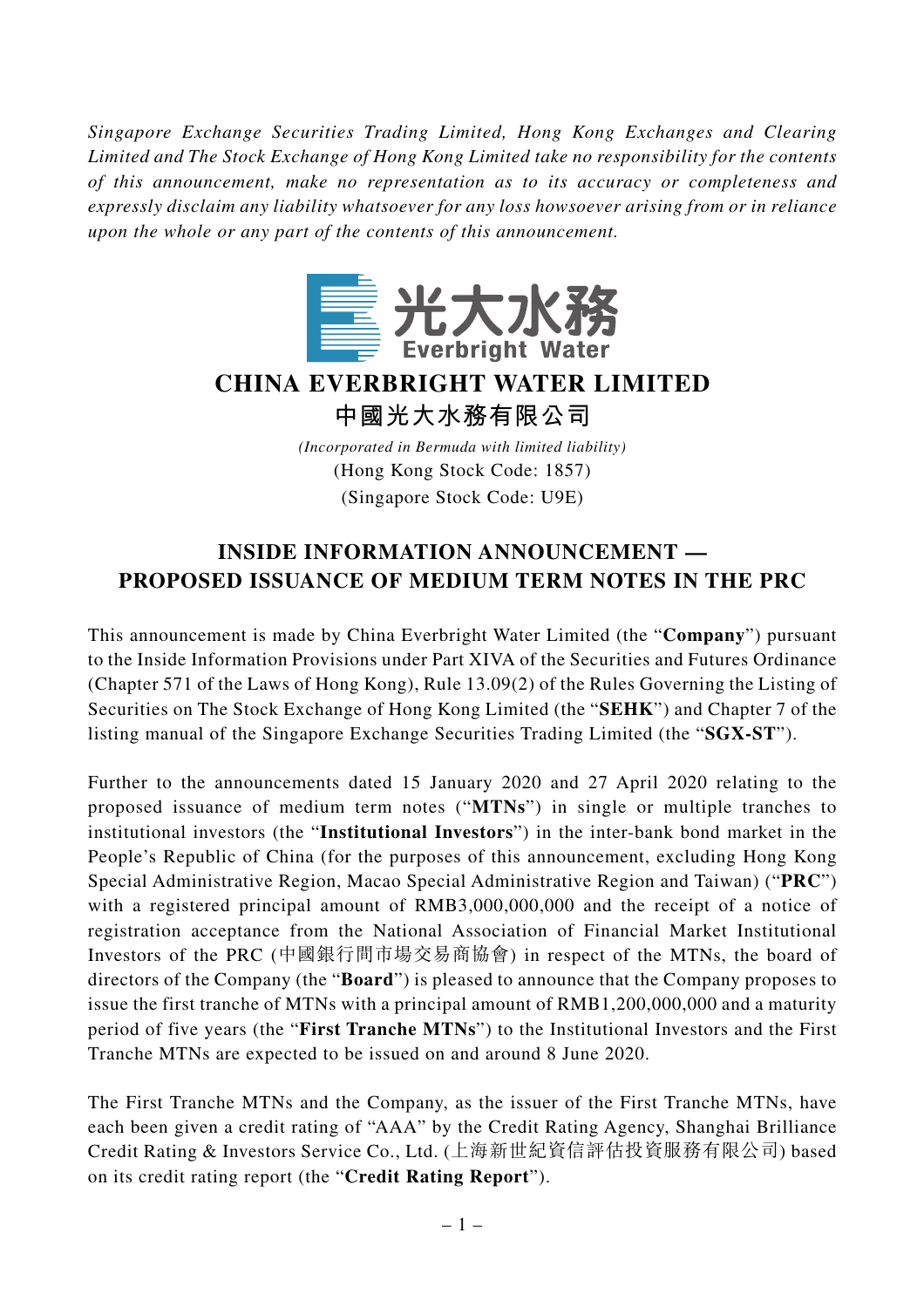*Singapore Exchange Securities Trading Limited, Hong Kong Exchanges and Clearing Limited and The Stock Exchange of Hong Kong Limited take no responsibility for the contents of this announcement, make no representation as to its accuracy or completeness and expressly disclaim any liability whatsoever for any loss howsoever arising from or in reliance upon the whole or any part of the contents of this announcement.*



## **CHINA EVERBRIGHT WATER LIMITED**

**中國光大水務有限公司**

*(Incorporated in Bermuda with limited liability)* (Hong Kong Stock Code: 1857) (Singapore Stock Code: U9E)

## **INSIDE INFORMATION ANNOUNCEMENT — PROPOSED ISSUANCE OF MEDIUM TERM NOTES IN THE PRC**

This announcement is made by China Everbright Water Limited (the "**Company**") pursuant to the Inside Information Provisions under Part XIVA of the Securities and Futures Ordinance (Chapter 571 of the Laws of Hong Kong), Rule 13.09(2) of the Rules Governing the Listing of Securities on The Stock Exchange of Hong Kong Limited (the "**SEHK**") and Chapter 7 of the listing manual of the Singapore Exchange Securities Trading Limited (the "**SGX-ST**").

Further to the announcements dated 15 January 2020 and 27 April 2020 relating to the proposed issuance of medium term notes ("**MTNs**") in single or multiple tranches to institutional investors (the "**Institutional Investors**") in the inter-bank bond market in the People's Republic of China (for the purposes of this announcement, excluding Hong Kong Special Administrative Region, Macao Special Administrative Region and Taiwan) ("**PRC**") with a registered principal amount of RMB3,000,000,000 and the receipt of a notice of registration acceptance from the National Association of Financial Market Institutional Investors of the PRC (中國銀行間市場交易商協會) in respect of the MTNs, the board of directors of the Company (the "**Board**") is pleased to announce that the Company proposes to issue the first tranche of MTNs with a principal amount of RMB1,200,000,000 and a maturity period of five years (the "**First Tranche MTNs**") to the Institutional Investors and the First Tranche MTNs are expected to be issued on and around 8 June 2020.

The First Tranche MTNs and the Company, as the issuer of the First Tranche MTNs, have each been given a credit rating of "AAA" by the Credit Rating Agency, Shanghai Brilliance Credit Rating & Investors Service Co., Ltd. (上海新世紀資信評估投資服務有限公司) based on its credit rating report (the "**Credit Rating Report**").